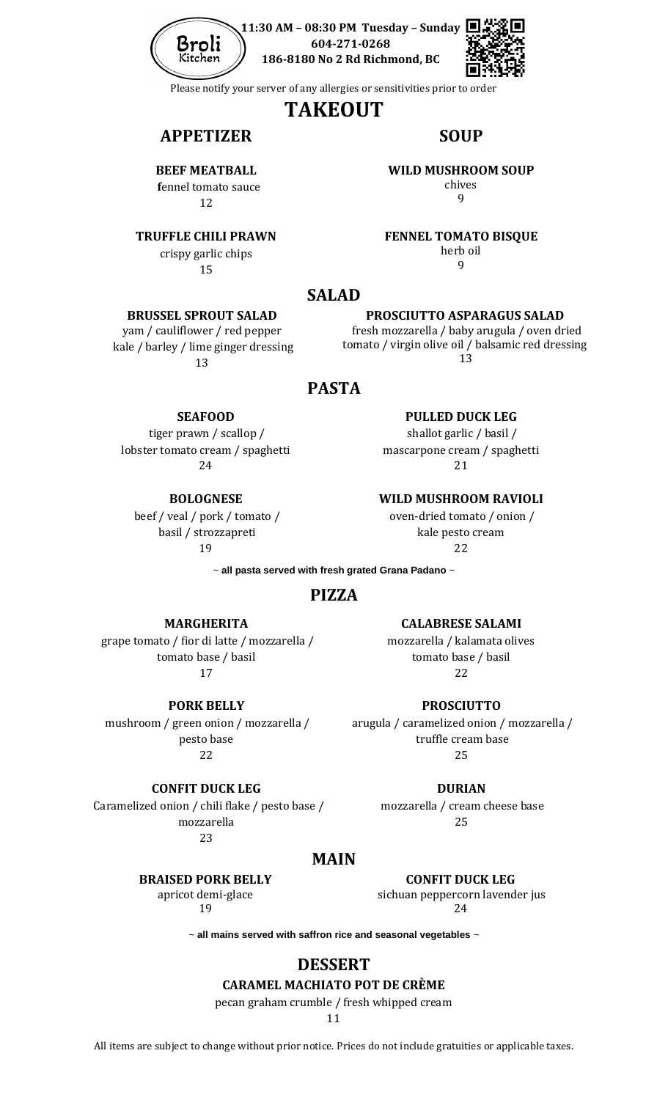

**11:30 AM – 08:30 PM Tuesday – Sunday 604-271-0268 186-8180 No 2 Rd Richmond, BC**



Please notify your server of any allergies or sensitivities prior to order

# **TAKEOUT**

# **APPETIZER SOUP**

**BEEF MEATBALL f**ennel tomato sauce

12

#### **TRUFFLE CHILI PRAWN**

crispy garlic chips 15

**BRUSSEL SPROUT SALAD** yam / cauliflower / red pepper kale / barley / lime ginger dressing 13

#### **WILD MUSHROOM SOUP**

chives 9

#### **FENNEL TOMATO BISQUE**

herb oil 9

## **SALAD**

#### **PROSCIUTTO ASPARAGUS SALAD**

 fresh mozzarella / baby arugula / oven dried tomato / virgin olive oil / balsamic red dressing 13

# **PASTA**

#### **SEAFOOD**

tiger prawn / scallop / lobster tomato cream / spaghetti 24

**BOLOGNESE** beef / veal / pork / tomato / basil / strozzapreti

19

**PULLED DUCK LEG** 

shallot garlic / basil / mascarpone cream / spaghetti 21

#### **WILD MUSHROOM RAVIOLI**

oven-dried tomato / onion / kale pesto cream 22

~ **all pasta served with fresh grated Grana Padano** ~

# **PIZZA**

#### **MARGHERITA**

grape tomato / fior di latte / mozzarella / tomato base / basil 17

**PORK BELLY** 

mushroom / green onion / mozzarella / pesto base 22

**CONFIT DUCK LEG**  Caramelized onion / chili flake / pesto base / mozzarella

**CALABRESE SALAMI** 

mozzarella / kalamata olives tomato base / basil 22

**PROSCIUTTO**

arugula / caramelized onion / mozzarella / truffle cream base 25

**DURIAN**

mozzarella / cream cheese base 25

23

# **MAIN**

**BRAISED PORK BELLY**

apricot demi-glace 19

**CONFIT DUCK LEG** sichuan peppercorn lavender jus 24

~ **all mains served with saffron rice and seasonal vegetables** ~

# **DESSERT**

# **CARAMEL MACHIATO POT DE CRÈME**

pecan graham crumble / fresh whipped cream

11

All items are subject to change without prior notice. Prices do not include gratuities or applicable taxes.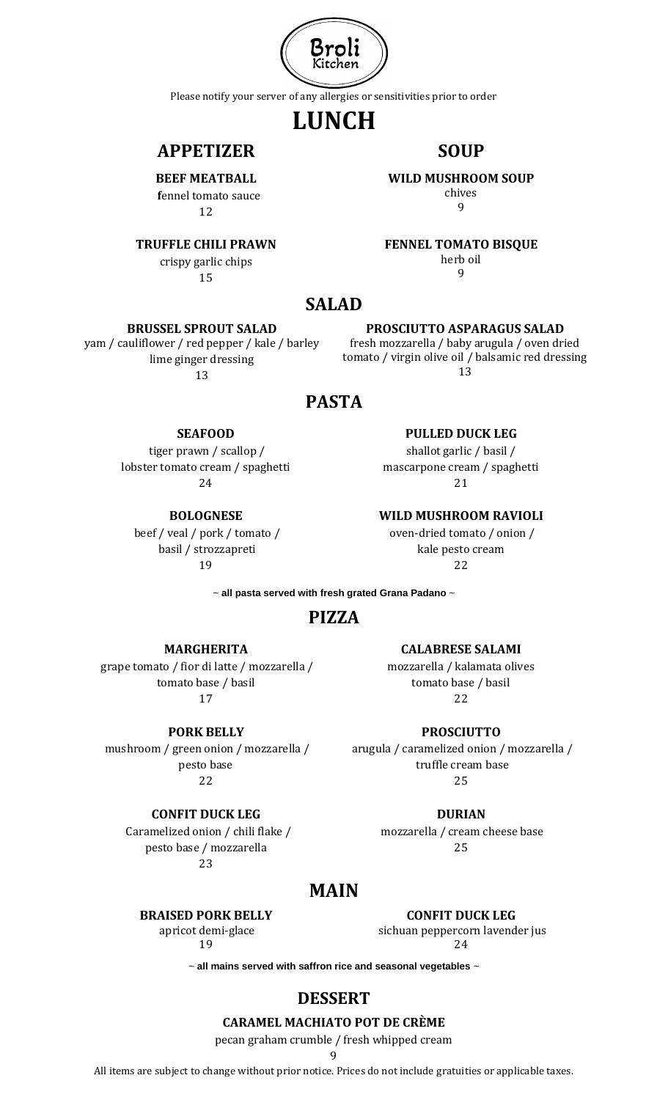

Please notify your server of any allergies or sensitivities prior to order

# **LUNCH**

# **APPETIZER SOUP**

**BEEF MEATBALL f**ennel tomato sauce 12

#### **TRUFFLE CHILI PRAWN**

crispy garlic chips 15

**WILD MUSHROOM SOUP**

chives  $\mathbf{q}$ 

**FENNEL TOMATO BISQUE**

herb oil 9

**PROSCIUTTO ASPARAGUS SALAD** fresh mozzarella / baby arugula / oven dried tomato / virgin olive oil / balsamic red dressing 13

> **PULLED DUCK LEG**  shallot garlic / basil / mascarpone cream / spaghetti 21

**WILD MUSHROOM RAVIOLI** oven-dried tomato / onion / kale pesto cream 22

### **SALAD**

#### **BRUSSEL SPROUT SALAD**

yam / cauliflower / red pepper / kale / barley lime ginger dressing 13

# **PASTA**

#### **SEAFOOD**

tiger prawn / scallop / lobster tomato cream / spaghetti 24

**BOLOGNESE**

beef / veal / pork / tomato / basil / strozzapreti

19

~ **all pasta served with fresh grated Grana Padano** ~

# **PIZZA**

**MARGHERITA**

#### grape tomato / fior di latte / mozzarella / tomato base / basil 17

**PORK BELLY** 

mushroom / green onion / mozzarella / pesto base 22

### **CONFIT DUCK LEG**

 Caramelized onion / chili flake / pesto base / mozzarella  $23$ 

### **CALABRESE SALAMI**

mozzarella / kalamata olives tomato base / basil 22

**PROSCIUTTO**

arugula / caramelized onion / mozzarella / truffle cream base 25

**DURIAN**

mozzarella / cream cheese base 25

# **MAIN**

#### **BRAISED PORK BELLY**

apricot demi-glace 19

**CONFIT DUCK LEG**

sichuan peppercorn lavender jus 24

~ **all mains served with saffron rice and seasonal vegetables** ~

# **DESSERT**

#### **CARAMEL MACHIATO POT DE CRÈME**

pecan graham crumble / fresh whipped cream

9

All items are subject to change without prior notice. Prices do not include gratuities or applicable taxes.